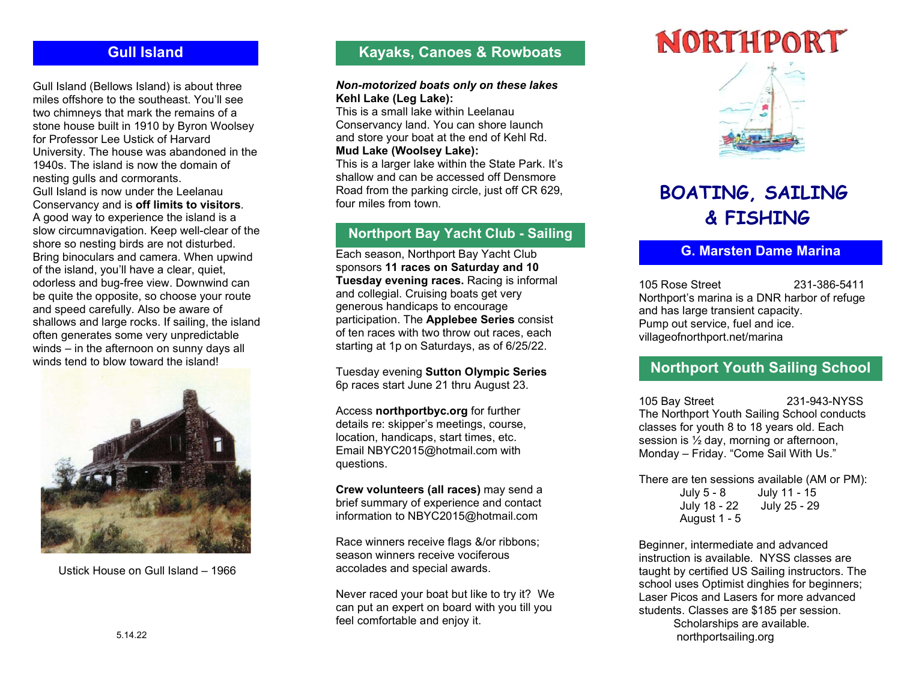Gull Island (Bellows Island) is about three miles offshore to the southeast. You'll see two chimneys that mark the remains of a stone house built in 1910 by Byron Woolsey for Professor Lee Ustick of Harvard University. The house was abandoned in the 1940s. The island is now the domain of nesting gulls and cormorants. Gull Island is now under the Leelanau Conservancy and is off limits to visitors. A good way to experience the island is a slow circumnavigation. Keep well-clear of the shore so nesting birds are not disturbed. Bring binoculars and camera. When upwind of the island, you'll have a clear, quiet, odorless and bug-free view. Downwind can be quite the opposite, so choose your route and speed carefully. Also be aware of shallows and large rocks. If sailing, the island often generates some very unpredictable winds – in the afternoon on sunny days all winds tend to blow toward the island!



Ustick House on Gull Island – 1966

# Gull Island **Kayaks, Canoes & Rowboats**

#### Non-motorized boats only on these lakes Kehl Lake (Leg Lake):

This is a small lake within Leelanau Conservancy land. You can shore launch and store your boat at the end of Kehl Rd. Mud Lake (Woolsey Lake):

This is a larger lake within the State Park. It's shallow and can be accessed off Densmore Road from the parking circle, just off CR 629, four miles from town.

# Northport Bay Yacht Club - Sailing

Each season, Northport Bay Yacht Club sponsors 11 races on Saturday and 10 Tuesday evening races. Racing is informal and collegial. Cruising boats get very generous handicaps to encourage participation. The Applebee Series consist of ten races with two throw out races, each starting at 1p on Saturdays, as of 6/25/22.

Tuesday evening Sutton Olympic Series 6p races start June 21 thru August 23.

Access northportbyc.org for further details re: skipper's meetings, course, location, handicaps, start times, etc. Email NBYC2015@hotmail.com with questions.

Crew volunteers (all races) may send a brief summary of experience and contact information to NBYC2015@hotmail.com

Race winners receive flags &/or ribbons; season winners receive vociferous accolades and special awards.

Never raced your boat but like to try it? We can put an expert on board with you till you feel comfortable and enjoy it.



# BOATING, SAILING & FISHING

# G. Marsten Dame Marina

105 Rose Street 231-386-5411 Northport's marina is a DNR harbor of refuge and has large transient capacity. Pump out service, fuel and ice. villageofnorthport.net/marina

# Northport Youth Sailing School

105 Bay Street 231-943-NYSS The Northport Youth Sailing School conducts classes for youth 8 to 18 years old. Each session is ½ day, morning or afternoon, Monday – Friday. "Come Sail With Us."

There are ten sessions available (AM or PM): July 5 - 8 July 11 - 15 July 18 - 22 July 25 - 29 August 1 - 5

Beginner, intermediate and advanced instruction is available. NYSS classes are taught by certified US Sailing instructors. The school uses Optimist dinghies for beginners; Laser Picos and Lasers for more advanced students. Classes are \$185 per session. Scholarships are available. northportsailing.org